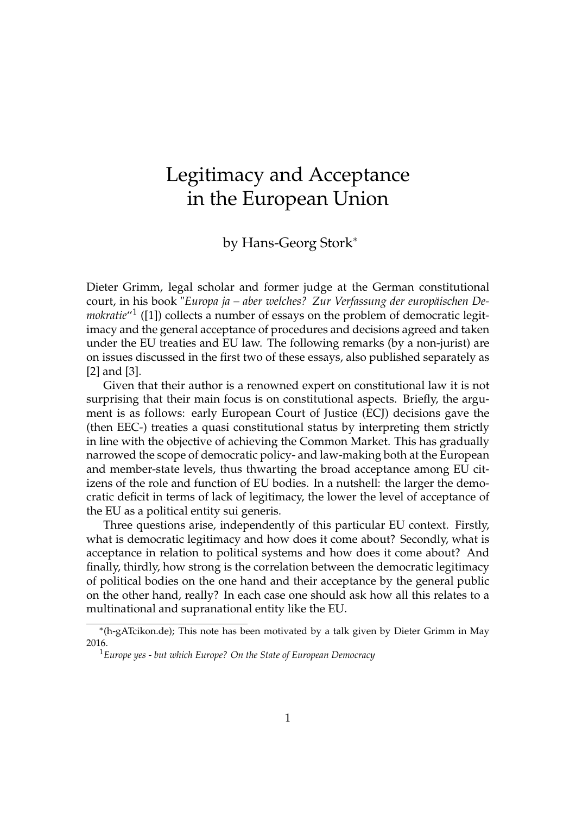## Legitimacy and Acceptance in the European Union

by Hans-Georg Stork<sup>\*</sup>

Dieter Grimm, legal scholar and former judge at the German constitutional court, in his book "*Europa ja – aber welches? Zur Verfassung der europäischen De*mokratie<sup>"1</sup> ([1]) collects a number of essays on the problem of democratic legitimacy and the general acceptance of procedures and decisions agreed and taken under the EU treaties and EU law. The following remarks (by a non-jurist) are on issues discussed in the first two of these essays, also published separately as [2] and [3].

Given that their author is a renowned expert on constitutional law it is not surprising that their main focus is on constitutional aspects. Briefly, the argument is as follows: early European Court of Justice (ECJ) decisions gave the (then EEC-) treaties a quasi constitutional status by interpreting them strictly in line with the objective of achieving the Common Market. This has gradually narrowed the scope of democratic policy- and law-making both at the European and member-state levels, thus thwarting the broad acceptance among EU citizens of the role and function of EU bodies. In a nutshell: the larger the democratic deficit in terms of lack of legitimacy, the lower the level of acceptance of the EU as a political entity sui generis.

Three questions arise, independently of this particular EU context. Firstly, what is democratic legitimacy and how does it come about? Secondly, what is acceptance in relation to political systems and how does it come about? And finally, thirdly, how strong is the correlation between the democratic legitimacy of political bodies on the one hand and their acceptance by the general public on the other hand, really? In each case one should ask how all this relates to a multinational and supranational entity like the EU.

<sup>⇤</sup>(h-gATcikon.de); This note has been motivated by a talk given by Dieter Grimm in May 2016.

<sup>1</sup>*Europe yes - but which Europe? On the State of European Democracy*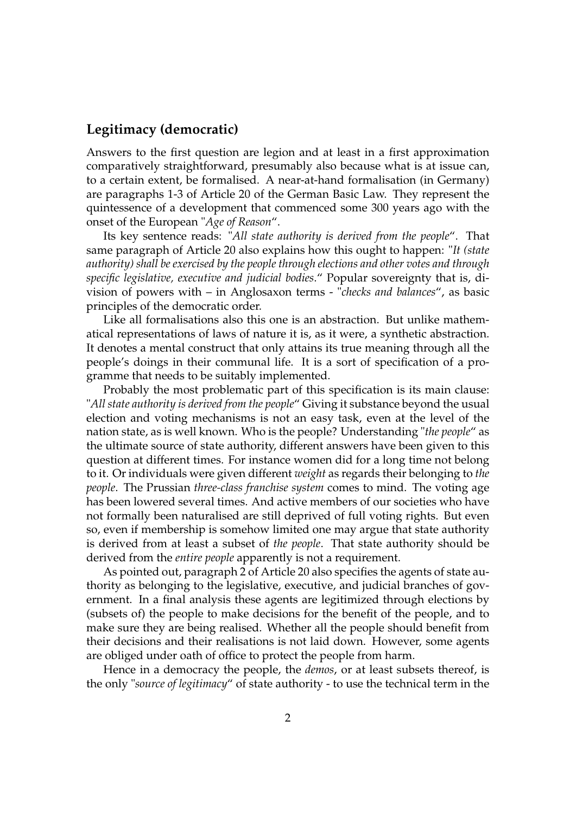## **Legitimacy (democratic)**

Answers to the first question are legion and at least in a first approximation comparatively straightforward, presumably also because what is at issue can, to a certain extent, be formalised. A near-at-hand formalisation (in Germany) are paragraphs 1-3 of Article 20 of the German Basic Law. They represent the quintessence of a development that commenced some 300 years ago with the onset of the European "*Age of Reason*".

Its key sentence reads: "*All state authority is derived from the people*". That same paragraph of Article 20 also explains how this ought to happen: "*It (state authority) shall be exercised by the people through elections and other votes and through specific legislative, executive and judicial bodies*." Popular sovereignty that is, division of powers with – in Anglosaxon terms - "*checks and balances*", as basic principles of the democratic order.

Like all formalisations also this one is an abstraction. But unlike mathematical representations of laws of nature it is, as it were, a synthetic abstraction. It denotes a mental construct that only attains its true meaning through all the people's doings in their communal life. It is a sort of specification of a programme that needs to be suitably implemented.

Probably the most problematic part of this specification is its main clause: "*All state authority is derived from the people*" Giving it substance beyond the usual election and voting mechanisms is not an easy task, even at the level of the nation state, as is well known. Who is the people? Understanding "*the people*" as the ultimate source of state authority, different answers have been given to this question at different times. For instance women did for a long time not belong to it. Or individuals were given different *weight* as regards their belonging to *the people*. The Prussian *three-class franchise system* comes to mind. The voting age has been lowered several times. And active members of our societies who have not formally been naturalised are still deprived of full voting rights. But even so, even if membership is somehow limited one may argue that state authority is derived from at least a subset of *the people*. That state authority should be derived from the *entire people* apparently is not a requirement.

As pointed out, paragraph 2 of Article 20 also specifies the agents of state authority as belonging to the legislative, executive, and judicial branches of government. In a final analysis these agents are legitimized through elections by (subsets of) the people to make decisions for the benefit of the people, and to make sure they are being realised. Whether all the people should benefit from their decisions and their realisations is not laid down. However, some agents are obliged under oath of office to protect the people from harm.

Hence in a democracy the people, the *demos*, or at least subsets thereof, is the only "*source of legitimacy*" of state authority - to use the technical term in the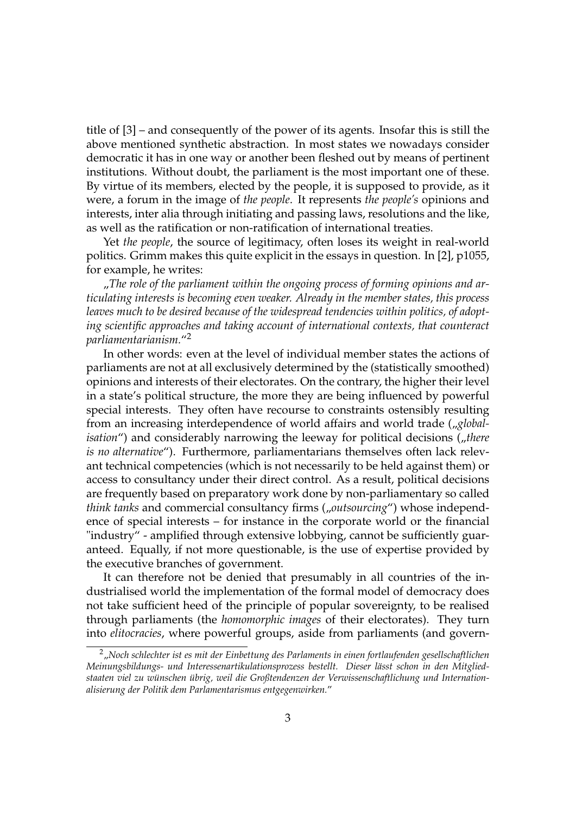title of [3] – and consequently of the power of its agents. Insofar this is still the above mentioned synthetic abstraction. In most states we nowadays consider democratic it has in one way or another been fleshed out by means of pertinent institutions. Without doubt, the parliament is the most important one of these. By virtue of its members, elected by the people, it is supposed to provide, as it were, a forum in the image of *the people*. It represents *the people's* opinions and interests, inter alia through initiating and passing laws, resolutions and the like, as well as the ratification or non-ratification of international treaties.

Yet *the people*, the source of legitimacy, often loses its weight in real-world politics. Grimm makes this quite explicit in the essays in question. In [2], p1055, for example, he writes:

..The role of the parliament within the ongoing process of forming opinions and ar*ticulating interests is becoming even weaker. Already in the member states, this process leaves much to be desired because of the widespread tendencies within politics, of adopting scientific approaches and taking account of international contexts, that counteract parliamentarianism.*"2

In other words: even at the level of individual member states the actions of parliaments are not at all exclusively determined by the (statistically smoothed) opinions and interests of their electorates. On the contrary, the higher their level in a state's political structure, the more they are being influenced by powerful special interests. They often have recourse to constraints ostensibly resulting from an increasing interdependence of world affairs and world trade (*<sub>n</sub>globalisation*") and considerably narrowing the leeway for political decisions (*fthere is no alternative*"). Furthermore, parliamentarians themselves often lack relevant technical competencies (which is not necessarily to be held against them) or access to consultancy under their direct control. As a result, political decisions are frequently based on preparatory work done by non-parliamentary so called *think tanks* and commercial consultancy firms (*"outsourcing*") whose independence of special interests – for instance in the corporate world or the financial "industry" - amplified through extensive lobbying, cannot be sufficiently guaranteed. Equally, if not more questionable, is the use of expertise provided by the executive branches of government.

It can therefore not be denied that presumably in all countries of the industrialised world the implementation of the formal model of democracy does not take sufficient heed of the principle of popular sovereignty, to be realised through parliaments (the *homomorphic images* of their electorates). They turn into *elitocracies*, where powerful groups, aside from parliaments (and govern-

<sup>2&</sup>quot;*Noch schlechter ist es mit der Einbettung des Parlaments in einen fortlaufenden gesellschaftlichen Meinungsbildungs- und Interessenartikulationsprozess bestellt. Dieser lässt schon in den Mitgliedstaaten viel zu wünschen übrig, weil die Großtendenzen der Verwissenschaftlichung und Internationalisierung der Politik dem Parlamentarismus entgegenwirken.*"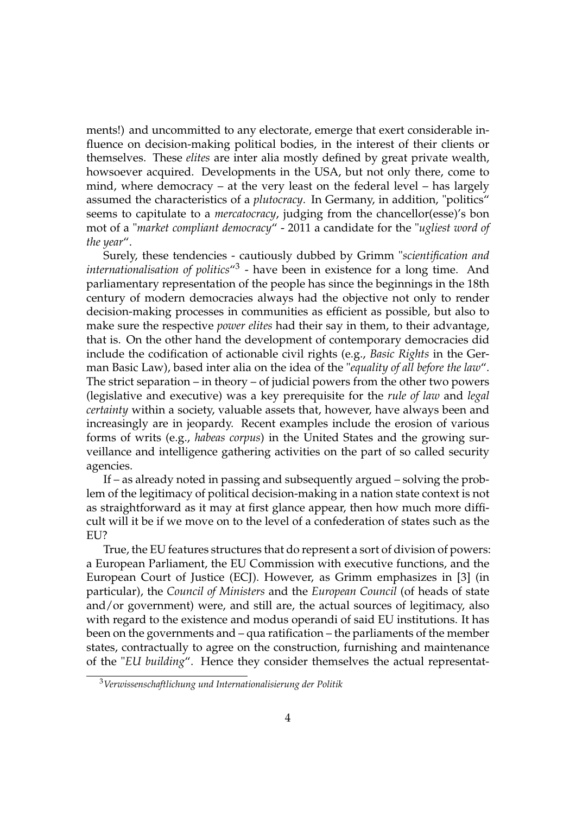ments!) and uncommitted to any electorate, emerge that exert considerable influence on decision-making political bodies, in the interest of their clients or themselves. These *elites* are inter alia mostly defined by great private wealth, howsoever acquired. Developments in the USA, but not only there, come to mind, where democracy – at the very least on the federal level – has largely assumed the characteristics of a *plutocracy*. In Germany, in addition, "politics" seems to capitulate to a *mercatocracy*, judging from the chancellor(esse)'s bon mot of a "*market compliant democracy*" - 2011 a candidate for the "*ugliest word of the year*".

Surely, these tendencies - cautiously dubbed by Grimm "*scientification and internationalisation of politics*"<sup>3</sup> - have been in existence for a long time. And parliamentary representation of the people has since the beginnings in the 18th century of modern democracies always had the objective not only to render decision-making processes in communities as efficient as possible, but also to make sure the respective *power elites* had their say in them, to their advantage, that is. On the other hand the development of contemporary democracies did include the codification of actionable civil rights (e.g., *Basic Rights* in the German Basic Law), based inter alia on the idea of the "*equality of all before the law*". The strict separation – in theory – of judicial powers from the other two powers (legislative and executive) was a key prerequisite for the *rule of law* and *legal certainty* within a society, valuable assets that, however, have always been and increasingly are in jeopardy. Recent examples include the erosion of various forms of writs (e.g., *habeas corpus*) in the United States and the growing surveillance and intelligence gathering activities on the part of so called security agencies.

If – as already noted in passing and subsequently argued – solving the problem of the legitimacy of political decision-making in a nation state context is not as straightforward as it may at first glance appear, then how much more difficult will it be if we move on to the level of a confederation of states such as the EU?

True, the EU features structures that do represent a sort of division of powers: a European Parliament, the EU Commission with executive functions, and the European Court of Justice (ECJ). However, as Grimm emphasizes in [3] (in particular), the *Council of Ministers* and the *European Council* (of heads of state and/or government) were, and still are, the actual sources of legitimacy, also with regard to the existence and modus operandi of said EU institutions. It has been on the governments and – qua ratification – the parliaments of the member states, contractually to agree on the construction, furnishing and maintenance of the "*EU building*". Hence they consider themselves the actual representat-

<sup>3</sup>*Verwissenschaftlichung und Internationalisierung der Politik*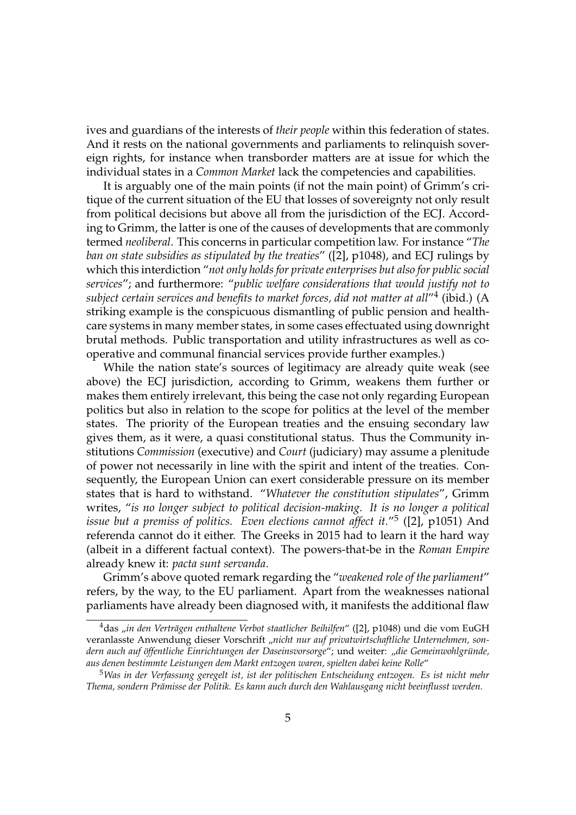ives and guardians of the interests of *their people* within this federation of states. And it rests on the national governments and parliaments to relinquish sovereign rights, for instance when transborder matters are at issue for which the individual states in a *Common Market* lack the competencies and capabilities.

It is arguably one of the main points (if not the main point) of Grimm's critique of the current situation of the EU that losses of sovereignty not only result from political decisions but above all from the jurisdiction of the ECJ. According to Grimm, the latter is one of the causes of developments that are commonly termed *neoliberal*. This concerns in particular competition law. For instance "*The ban on state subsidies as stipulated by the treaties*" ([2], p1048), and ECJ rulings by which this interdiction "*not only holds for private enterprises but also for public social services*"; and furthermore: "*public welfare considerations that would justify not to subject certain services and benefits to market forces, did not matter at all*"<sup>4</sup> (ibid.) (A striking example is the conspicuous dismantling of public pension and healthcare systems in many member states, in some cases effectuated using downright brutal methods. Public transportation and utility infrastructures as well as cooperative and communal financial services provide further examples.)

While the nation state's sources of legitimacy are already quite weak (see above) the ECJ jurisdiction, according to Grimm, weakens them further or makes them entirely irrelevant, this being the case not only regarding European politics but also in relation to the scope for politics at the level of the member states. The priority of the European treaties and the ensuing secondary law gives them, as it were, a quasi constitutional status. Thus the Community institutions *Commission* (executive) and *Court* (judiciary) may assume a plenitude of power not necessarily in line with the spirit and intent of the treaties. Consequently, the European Union can exert considerable pressure on its member states that is hard to withstand. "*Whatever the constitution stipulates*", Grimm writes, "*is no longer subject to political decision-making. It is no longer a political issue but a premiss of politics. Even elections cannot affect it.*"<sup>5</sup> ([2], p1051) And referenda cannot do it either. The Greeks in 2015 had to learn it the hard way (albeit in a different factual context). The powers-that-be in the *Roman Empire* already knew it: *pacta sunt servanda*.

Grimm's above quoted remark regarding the "*weakened role of the parliament*" refers, by the way, to the EU parliament. Apart from the weaknesses national parliaments have already been diagnosed with, it manifests the additional flaw

<sup>&</sup>lt;sup>4</sup>das "in den Verträgen enthaltene Verbot staatlicher Beihilfen" ([2], p1048) und die vom EuGH veranlasste Anwendung dieser Vorschrift "nicht nur auf privatwirtschaftliche Unternehmen, son*dern auch auf öffentliche Einrichtungen der Daseinsvorsorge*"; und weiter: "*die Gemeinwohlgründe, aus denen bestimmte Leistungen dem Markt entzogen waren, spielten dabei keine Rolle*"

<sup>5</sup>*Was in der Verfassung geregelt ist, ist der politischen Entscheidung entzogen. Es ist nicht mehr Thema, sondern Prämisse der Politik. Es kann auch durch den Wahlausgang nicht beeinflusst werden.*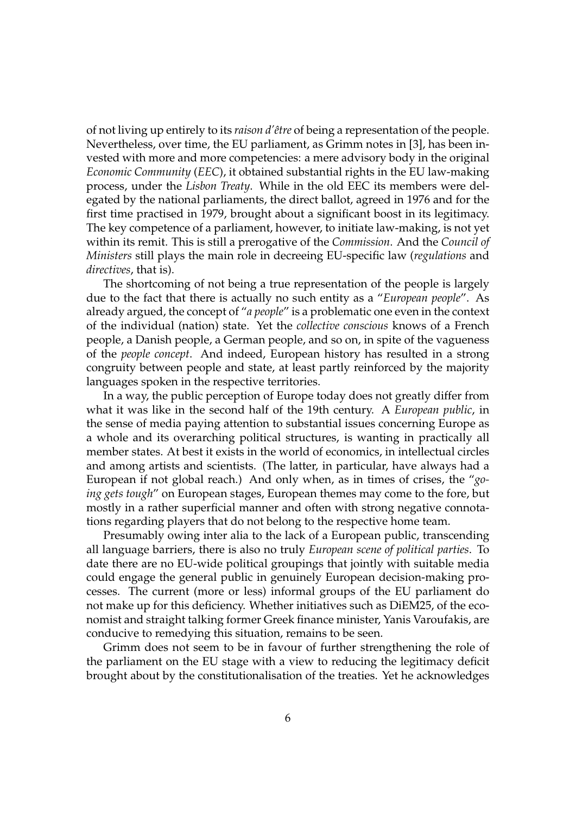of not living up entirely to its *raison d'être* of being a representation of the people. Nevertheless, over time, the EU parliament, as Grimm notes in [3], has been invested with more and more competencies: a mere advisory body in the original *Economic Community* (*EEC*), it obtained substantial rights in the EU law-making process, under the *Lisbon Treaty*. While in the old EEC its members were delegated by the national parliaments, the direct ballot, agreed in 1976 and for the first time practised in 1979, brought about a significant boost in its legitimacy. The key competence of a parliament, however, to initiate law-making, is not yet within its remit. This is still a prerogative of the *Commission*. And the *Council of Ministers* still plays the main role in decreeing EU-specific law (*regulations* and *directives*, that is).

The shortcoming of not being a true representation of the people is largely due to the fact that there is actually no such entity as a "*European people*". As already argued, the concept of "*a people*" is a problematic one even in the context of the individual (nation) state. Yet the *collective conscious* knows of a French people, a Danish people, a German people, and so on, in spite of the vagueness of the *people concept*. And indeed, European history has resulted in a strong congruity between people and state, at least partly reinforced by the majority languages spoken in the respective territories.

In a way, the public perception of Europe today does not greatly differ from what it was like in the second half of the 19th century. A *European public*, in the sense of media paying attention to substantial issues concerning Europe as a whole and its overarching political structures, is wanting in practically all member states. At best it exists in the world of economics, in intellectual circles and among artists and scientists. (The latter, in particular, have always had a European if not global reach.) And only when, as in times of crises, the "*going gets tough*" on European stages, European themes may come to the fore, but mostly in a rather superficial manner and often with strong negative connotations regarding players that do not belong to the respective home team.

Presumably owing inter alia to the lack of a European public, transcending all language barriers, there is also no truly *European scene of political parties*. To date there are no EU-wide political groupings that jointly with suitable media could engage the general public in genuinely European decision-making processes. The current (more or less) informal groups of the EU parliament do not make up for this deficiency. Whether initiatives such as DiEM25, of the economist and straight talking former Greek finance minister, Yanis Varoufakis, are conducive to remedying this situation, remains to be seen.

Grimm does not seem to be in favour of further strengthening the role of the parliament on the EU stage with a view to reducing the legitimacy deficit brought about by the constitutionalisation of the treaties. Yet he acknowledges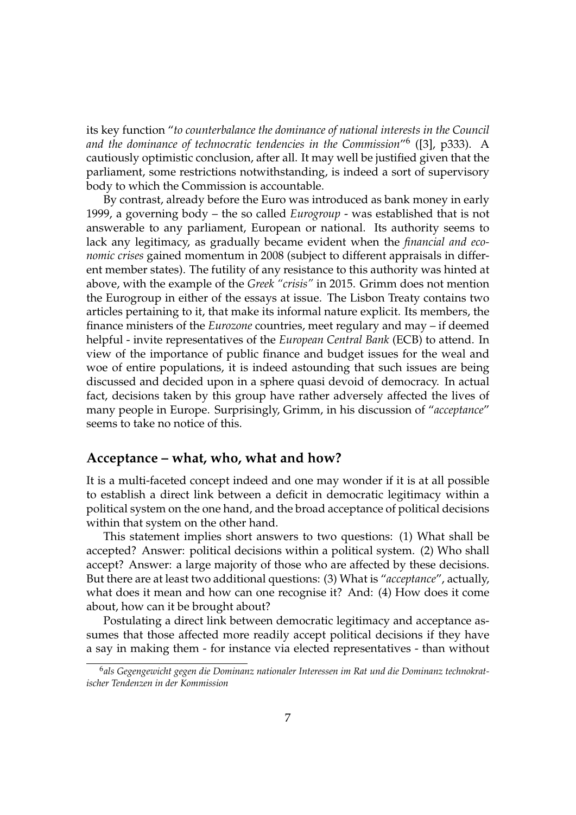its key function "*to counterbalance the dominance of national interests in the Council and the dominance of technocratic tendencies in the Commission*"<sup>6</sup> ([3], p333). A cautiously optimistic conclusion, after all. It may well be justified given that the parliament, some restrictions notwithstanding, is indeed a sort of supervisory body to which the Commission is accountable.

By contrast, already before the Euro was introduced as bank money in early 1999, a governing body – the so called *Eurogroup* - was established that is not answerable to any parliament, European or national. Its authority seems to lack any legitimacy, as gradually became evident when the *financial and economic crises* gained momentum in 2008 (subject to different appraisals in different member states). The futility of any resistance to this authority was hinted at above, with the example of the *Greek "crisis"* in 2015. Grimm does not mention the Eurogroup in either of the essays at issue. The Lisbon Treaty contains two articles pertaining to it, that make its informal nature explicit. Its members, the finance ministers of the *Eurozone* countries, meet regulary and may – if deemed helpful - invite representatives of the *European Central Bank* (ECB) to attend. In view of the importance of public finance and budget issues for the weal and woe of entire populations, it is indeed astounding that such issues are being discussed and decided upon in a sphere quasi devoid of democracy. In actual fact, decisions taken by this group have rather adversely affected the lives of many people in Europe. Surprisingly, Grimm, in his discussion of "*acceptance*" seems to take no notice of this.

## **Acceptance – what, who, what and how?**

It is a multi-faceted concept indeed and one may wonder if it is at all possible to establish a direct link between a deficit in democratic legitimacy within a political system on the one hand, and the broad acceptance of political decisions within that system on the other hand.

This statement implies short answers to two questions: (1) What shall be accepted? Answer: political decisions within a political system. (2) Who shall accept? Answer: a large majority of those who are affected by these decisions. But there are at least two additional questions: (3) What is "*acceptance*", actually, what does it mean and how can one recognise it? And: (4) How does it come about, how can it be brought about?

Postulating a direct link between democratic legitimacy and acceptance assumes that those affected more readily accept political decisions if they have a say in making them - for instance via elected representatives - than without

<sup>6</sup>*als Gegengewicht gegen die Dominanz nationaler Interessen im Rat und die Dominanz technokratischer Tendenzen in der Kommission*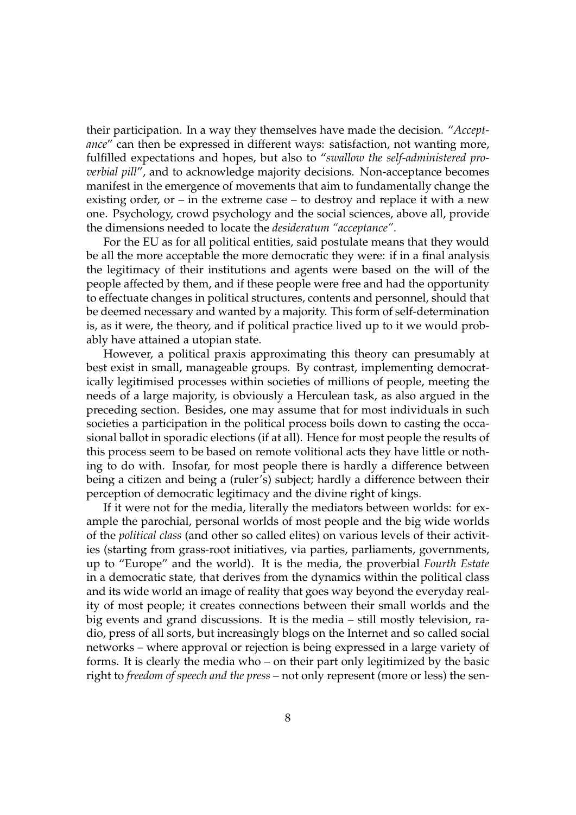their participation. In a way they themselves have made the decision. "*Acceptance*" can then be expressed in different ways: satisfaction, not wanting more, fulfilled expectations and hopes, but also to "*swallow the self-administered proverbial pill*", and to acknowledge majority decisions. Non-acceptance becomes manifest in the emergence of movements that aim to fundamentally change the existing order, or – in the extreme case – to destroy and replace it with a new one. Psychology, crowd psychology and the social sciences, above all, provide the dimensions needed to locate the *desideratum "acceptance"*.

For the EU as for all political entities, said postulate means that they would be all the more acceptable the more democratic they were: if in a final analysis the legitimacy of their institutions and agents were based on the will of the people affected by them, and if these people were free and had the opportunity to effectuate changes in political structures, contents and personnel, should that be deemed necessary and wanted by a majority. This form of self-determination is, as it were, the theory, and if political practice lived up to it we would probably have attained a utopian state.

However, a political praxis approximating this theory can presumably at best exist in small, manageable groups. By contrast, implementing democratically legitimised processes within societies of millions of people, meeting the needs of a large majority, is obviously a Herculean task, as also argued in the preceding section. Besides, one may assume that for most individuals in such societies a participation in the political process boils down to casting the occasional ballot in sporadic elections (if at all). Hence for most people the results of this process seem to be based on remote volitional acts they have little or nothing to do with. Insofar, for most people there is hardly a difference between being a citizen and being a (ruler's) subject; hardly a difference between their perception of democratic legitimacy and the divine right of kings.

If it were not for the media, literally the mediators between worlds: for example the parochial, personal worlds of most people and the big wide worlds of the *political class* (and other so called elites) on various levels of their activities (starting from grass-root initiatives, via parties, parliaments, governments, up to "Europe" and the world). It is the media, the proverbial *Fourth Estate* in a democratic state, that derives from the dynamics within the political class and its wide world an image of reality that goes way beyond the everyday reality of most people; it creates connections between their small worlds and the big events and grand discussions. It is the media – still mostly television, radio, press of all sorts, but increasingly blogs on the Internet and so called social networks – where approval or rejection is being expressed in a large variety of forms. It is clearly the media who – on their part only legitimized by the basic right to *freedom of speech and the press* – not only represent (more or less) the sen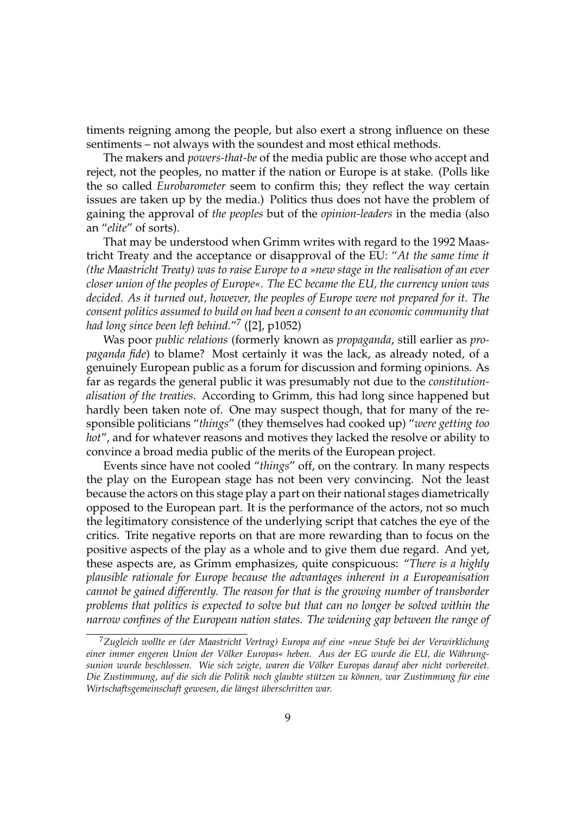timents reigning among the people, but also exert a strong influence on these sentiments – not always with the soundest and most ethical methods.

The makers and *powers-that-be* of the media public are those who accept and reject, not the peoples, no matter if the nation or Europe is at stake. (Polls like the so called *Eurobarometer* seem to confirm this; they reflect the way certain issues are taken up by the media.) Politics thus does not have the problem of gaining the approval of *the peoples* but of the *opinion-leaders* in the media (also an "*elite*" of sorts).

That may be understood when Grimm writes with regard to the 1992 Maastricht Treaty and the acceptance or disapproval of the EU: "*At the same time it (the Maastricht Treaty) was to raise Europe to a »new stage in the realisation of an ever closer union of the peoples of Europe«. The EC became the EU, the currency union was decided. As it turned out, however, the peoples of Europe were not prepared for it. The consent politics assumed to build on had been a consent to an economic community that had long since been left behind.*"<sup>7</sup> ([2], p1052)

Was poor *public relations* (formerly known as *propaganda*, still earlier as *propaganda fide*) to blame? Most certainly it was the lack, as already noted, of a genuinely European public as a forum for discussion and forming opinions. As far as regards the general public it was presumably not due to the *constitutionalisation of the treaties*. According to Grimm, this had long since happened but hardly been taken note of. One may suspect though, that for many of the responsible politicians "*things*" (they themselves had cooked up) "*were getting too hot*", and for whatever reasons and motives they lacked the resolve or ability to convince a broad media public of the merits of the European project.

Events since have not cooled "*things*" off, on the contrary. In many respects the play on the European stage has not been very convincing. Not the least because the actors on this stage play a part on their national stages diametrically opposed to the European part. It is the performance of the actors, not so much the legitimatory consistence of the underlying script that catches the eye of the critics. Trite negative reports on that are more rewarding than to focus on the positive aspects of the play as a whole and to give them due regard. And yet, these aspects are, as Grimm emphasizes, quite conspicuous: "*There is a highly plausible rationale for Europe because the advantages inherent in a Europeanisation cannot be gained differently. The reason for that is the growing number of transborder problems that politics is expected to solve but that can no longer be solved within the narrow confines of the European nation states. The widening gap between the range of*

<sup>7</sup>*Zugleich wollte er (der Maastricht Vertrag) Europa auf eine »neue Stufe bei der Verwirklichung einer immer engeren Union der Völker Europas« heben. Aus der EG wurde die EU, die Währungsunion wurde beschlossen. Wie sich zeigte, waren die Völker Europas darauf aber nicht vorbereitet. Die Zustimmung, auf die sich die Politik noch glaubte stützen zu können, war Zustimmung für eine Wirtschaftsgemeinschaft gewesen, die längst überschritten war.*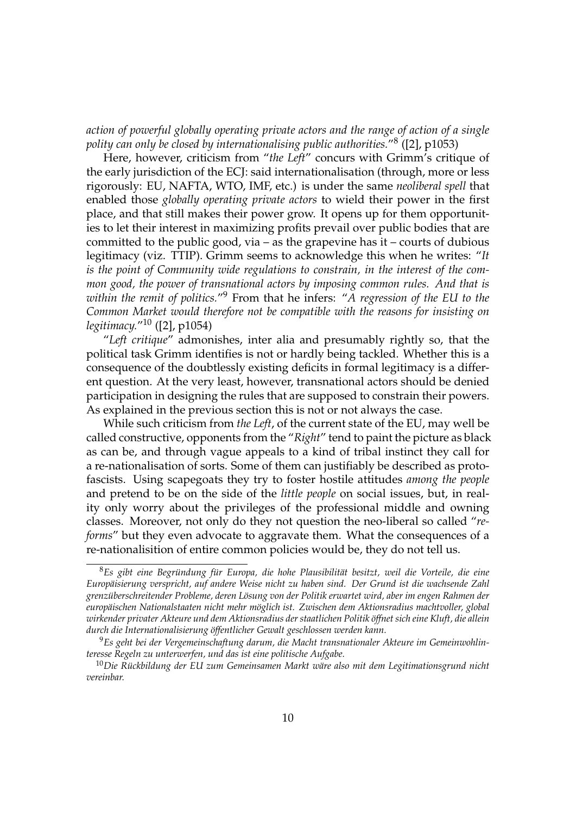*action of powerful globally operating private actors and the range of action of a single polity can only be closed by internationalising public authorities.*"<sup>8</sup> ([2], p1053)

Here, however, criticism from "*the Left*" concurs with Grimm's critique of the early jurisdiction of the ECJ: said internationalisation (through, more or less rigorously: EU, NAFTA, WTO, IMF, etc.) is under the same *neoliberal spell* that enabled those *globally operating private actors* to wield their power in the first place, and that still makes their power grow. It opens up for them opportunities to let their interest in maximizing profits prevail over public bodies that are committed to the public good, via – as the grapevine has it – courts of dubious legitimacy (viz. TTIP). Grimm seems to acknowledge this when he writes: "*It is the point of Community wide regulations to constrain, in the interest of the common good, the power of transnational actors by imposing common rules. And that is within the remit of politics.*"<sup>9</sup> From that he infers: "*A regression of the EU to the Common Market would therefore not be compatible with the reasons for insisting on legitimacy.*"10 ([2], p1054)

"*Left critique*" admonishes, inter alia and presumably rightly so, that the political task Grimm identifies is not or hardly being tackled. Whether this is a consequence of the doubtlessly existing deficits in formal legitimacy is a different question. At the very least, however, transnational actors should be denied participation in designing the rules that are supposed to constrain their powers. As explained in the previous section this is not or not always the case.

While such criticism from *the Left*, of the current state of the EU, may well be called constructive, opponents from the "*Right*" tend to paint the picture as black as can be, and through vague appeals to a kind of tribal instinct they call for a re-nationalisation of sorts. Some of them can justifiably be described as protofascists. Using scapegoats they try to foster hostile attitudes *among the people* and pretend to be on the side of the *little people* on social issues, but, in reality only worry about the privileges of the professional middle and owning classes. Moreover, not only do they not question the neo-liberal so called "*reforms*" but they even advocate to aggravate them. What the consequences of a re-nationalisition of entire common policies would be, they do not tell us.

<sup>8</sup>*Es gibt eine Begründung für Europa, die hohe Plausibilität besitzt, weil die Vorteile, die eine Europäisierung verspricht, auf andere Weise nicht zu haben sind. Der Grund ist die wachsende Zahl grenzüberschreitender Probleme, deren Lösung von der Politik erwartet wird, aber im engen Rahmen der europäischen Nationalstaaten nicht mehr möglich ist. Zwischen dem Aktionsradius machtvoller, global wirkender privater Akteure und dem Aktionsradius der staatlichen Politik öffnet sich eine Kluft, die allein durch die Internationalisierung öffentlicher Gewalt geschlossen werden kann.*

<sup>9</sup>*Es geht bei der Vergemeinschaftung darum, die Macht transnationaler Akteure im Gemeinwohlinteresse Regeln zu unterwerfen, und das ist eine politische Aufgabe.*

<sup>10</sup>*Die Rückbildung der EU zum Gemeinsamen Markt wäre also mit dem Legitimationsgrund nicht vereinbar.*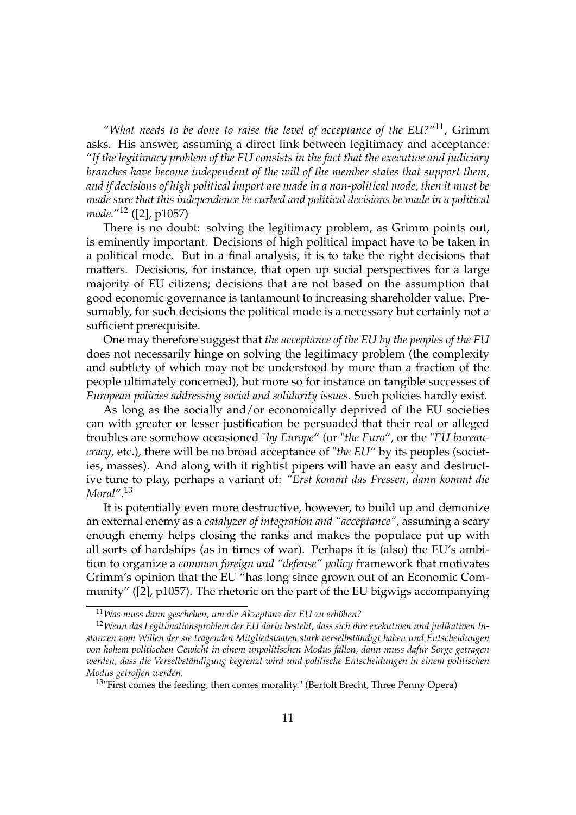"*What needs to be done to raise the level of acceptance of the EU?*"11, Grimm asks. His answer, assuming a direct link between legitimacy and acceptance: "*If the legitimacy problem of the EU consists in the fact that the executive and judiciary branches have become independent of the will of the member states that support them, and if decisions of high political import are made in a non-political mode, then it must be made sure that this independence be curbed and political decisions be made in a political mode.*"12 ([2], p1057)

There is no doubt: solving the legitimacy problem, as Grimm points out, is eminently important. Decisions of high political impact have to be taken in a political mode. But in a final analysis, it is to take the right decisions that matters. Decisions, for instance, that open up social perspectives for a large majority of EU citizens; decisions that are not based on the assumption that good economic governance is tantamount to increasing shareholder value. Presumably, for such decisions the political mode is a necessary but certainly not a sufficient prerequisite.

One may therefore suggest that *the acceptance of the EU by the peoples of the EU* does not necessarily hinge on solving the legitimacy problem (the complexity and subtlety of which may not be understood by more than a fraction of the people ultimately concerned), but more so for instance on tangible successes of *European policies addressing social and solidarity issues*. Such policies hardly exist.

As long as the socially and/or economically deprived of the EU societies can with greater or lesser justification be persuaded that their real or alleged troubles are somehow occasioned "*by Europe*" (or "*the Euro*", or the "*EU bureaucracy*, etc.), there will be no broad acceptance of "*the EU*" by its peoples (societies, masses). And along with it rightist pipers will have an easy and destructive tune to play, perhaps a variant of: *"Erst kommt das Fressen, dann kommt die Moral*".<sup>13</sup>

It is potentially even more destructive, however, to build up and demonize an external enemy as a *catalyzer of integration and "acceptance"*, assuming a scary enough enemy helps closing the ranks and makes the populace put up with all sorts of hardships (as in times of war). Perhaps it is (also) the EU's ambition to organize a *common foreign and "defense" policy* framework that motivates Grimm's opinion that the EU "has long since grown out of an Economic Community" ([2], p1057). The rhetoric on the part of the EU bigwigs accompanying

<sup>11</sup>*Was muss dann geschehen, um die Akzeptanz der EU zu erhöhen?*

<sup>12</sup>*Wenn das Legitimationsproblem der EU darin besteht, dass sich ihre exekutiven und judikativen Instanzen vom Willen der sie tragenden Mitgliedstaaten stark verselbständigt haben und Entscheidungen von hohem politischen Gewicht in einem unpolitischen Modus fällen, dann muss dafür Sorge getragen werden, dass die Verselbständigung begrenzt wird und politische Entscheidungen in einem politischen Modus getroffen werden.*

<sup>&</sup>lt;sup>13</sup>"First comes the feeding, then comes morality." (Bertolt Brecht, Three Penny Opera)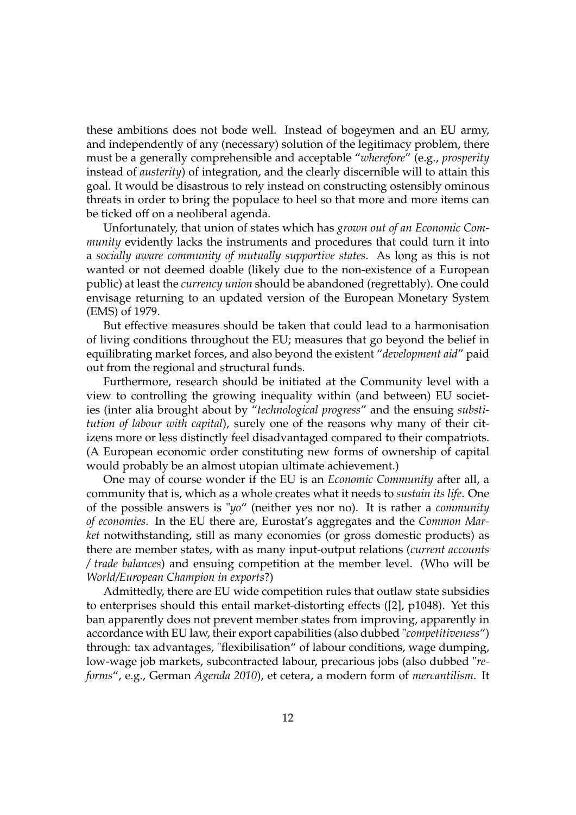these ambitions does not bode well. Instead of bogeymen and an EU army, and independently of any (necessary) solution of the legitimacy problem, there must be a generally comprehensible and acceptable "*wherefore*" (e.g., *prosperity* instead of *austerity*) of integration, and the clearly discernible will to attain this goal. It would be disastrous to rely instead on constructing ostensibly ominous threats in order to bring the populace to heel so that more and more items can be ticked off on a neoliberal agenda.

Unfortunately, that union of states which has *grown out of an Economic Community* evidently lacks the instruments and procedures that could turn it into a *socially aware community of mutually supportive states*. As long as this is not wanted or not deemed doable (likely due to the non-existence of a European public) at least the *currency union* should be abandoned (regrettably). One could envisage returning to an updated version of the European Monetary System (EMS) of 1979.

But effective measures should be taken that could lead to a harmonisation of living conditions throughout the EU; measures that go beyond the belief in equilibrating market forces, and also beyond the existent "*development aid*" paid out from the regional and structural funds.

Furthermore, research should be initiated at the Community level with a view to controlling the growing inequality within (and between) EU societies (inter alia brought about by "*technological progress*" and the ensuing *substitution of labour with capital*), surely one of the reasons why many of their citizens more or less distinctly feel disadvantaged compared to their compatriots. (A European economic order constituting new forms of ownership of capital would probably be an almost utopian ultimate achievement.)

One may of course wonder if the EU is an *Economic Community* after all, a community that is, which as a whole creates what it needs to *sustain its life*. One of the possible answers is "*yo*" (neither yes nor no). It is rather a *community of economies*. In the EU there are, Eurostat's aggregates and the *Common Market* notwithstanding, still as many economies (or gross domestic products) as there are member states, with as many input-output relations (*current accounts / trade balances*) and ensuing competition at the member level. (Who will be *World/European Champion in exports*?)

Admittedly, there are EU wide competition rules that outlaw state subsidies to enterprises should this entail market-distorting effects ([2], p1048). Yet this ban apparently does not prevent member states from improving, apparently in accordance with EU law, their export capabilities (also dubbed "*competitiveness*") through: tax advantages, "flexibilisation" of labour conditions, wage dumping, low-wage job markets, subcontracted labour, precarious jobs (also dubbed "*reforms*", e.g., German *Agenda 2010*), et cetera, a modern form of *mercantilism*. It